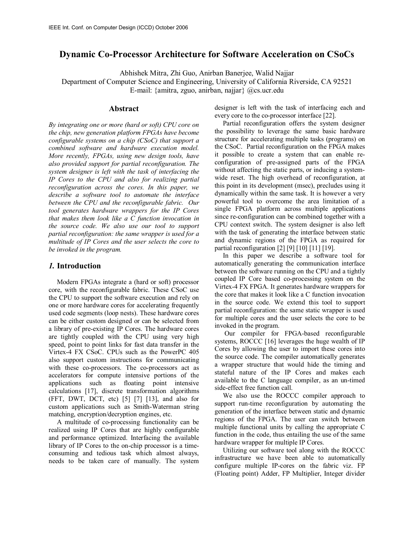# **Dynamic Co-Processor Architecture for Software Acceleration on CSoCs**

Abhishek Mitra, Zhi Guo, Anirban Banerjee, Walid Najjar Department of Computer Science and Engineering, University of California Riverside, CA 92521 E-mail: {amitra, zguo, anirban, najjar} @cs.ucr.edu

#### **Abstract**

*By integrating one or more (hard or soft) CPU core on the chip, new generation platform FPGAs have become configurable systems on a chip (CSoC) that support a combined software and hardware execution model. More recently, FPGAs, using new design tools, have also provided support for partial reconfiguration. The system designer is left with the task of interfacing the IP Cores to the CPU and also for realizing partial reconfiguration across the cores. In this paper, we describe a software tool to automate the interface between the CPU and the reconfigurable fabric. Our tool generates hardware wrappers for the IP Cores that makes them look like a C function invocation in the source code. We also use our tool to support partial reconfiguration: the same wrapper is used for a multitude of IP Cores and the user selects the core to be invoked in the program.* 

#### *1.* **Introduction**

Modern FPGAs integrate a (hard or soft) processor core, with the reconfigurable fabric. These CSoC use the CPU to support the software execution and rely on one or more hardware cores for accelerating frequently used code segments (loop nests). These hardware cores can be either custom designed or can be selected from a library of pre-existing IP Cores. The hardware cores are tightly coupled with the CPU using very high speed, point to point links for fast data transfer in the Virtex-4 FX CSoC. CPUs such as the PowerPC 405 also support custom instructions for communicating with these co-processors. The co-processors act as accelerators for compute intensive portions of the applications such as floating point intensive calculations [17], discrete transformation algorithms (FFT, DWT, DCT, etc) [5] [7] [13], and also for custom applications such as Smith-Waterman string matching, encryption/decryption engines, etc.

A multitude of co-processing functionality can be realized using IP Cores that are highly configurable and performance optimized. Interfacing the available library of IP Cores to the on-chip processor is a timeconsuming and tedious task which almost always, needs to be taken care of manually. The system

designer is left with the task of interfacing each and every core to the co-processor interface [22].

Partial reconfiguration offers the system designer the possibility to leverage the same basic hardware structure for accelerating multiple tasks (programs) on the CSoC. Partial reconfiguration on the FPGA makes it possible to create a system that can enable reconfiguration of pre-assigned parts of the FPGA without affecting the static parts, or inducing a systemwide reset. The high overhead of reconfiguration, at this point in its development (msec), precludes using it dynamically within the same task. It is however a very powerful tool to overcome the area limitation of a single FPGA platform across multiple applications since re-configuration can be combined together with a CPU context switch. The system designer is also left with the task of generating the interface between static and dynamic regions of the FPGA as required for partial reconfiguration [2] [9] [10] [11] [19].

In this paper we describe a software tool for automatically generating the communication interface between the software running on the CPU and a tightly coupled IP Core based co-processing system on the Virtex-4 FX FPGA. It generates hardware wrappers for the core that makes it look like a C function invocation in the source code. We extend this tool to support partial reconfiguration: the same static wrapper is used for multiple cores and the user selects the core to be invoked in the program.

 Our compiler for FPGA-based reconfigurable systems, ROCCC [16] leverages the huge wealth of IP Cores by allowing the user to import these cores into the source code. The compiler automatically generates a wrapper structure that would hide the timing and stateful nature of the IP Cores and makes each available to the C language compiler, as an un-timed side-effect free function call.

We also use the ROCCC compiler approach to support run-time reconfiguration by automating the generation of the interface between static and dynamic regions of the FPGA. The user can switch between multiple functional units by calling the appropriate C function in the code, thus entailing the use of the same hardware wrapper for multiple IP Cores.

Utilizing our software tool along with the ROCCC infrastructure we have been able to automatically configure multiple IP-cores on the fabric viz. FP (Floating point) Adder, FP Multiplier, Integer divider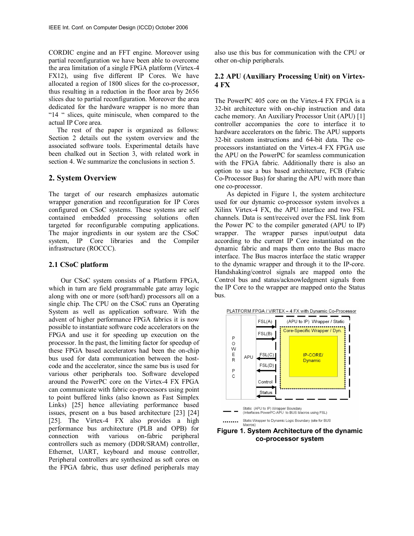CORDIC engine and an FFT engine. Moreover using partial reconfiguration we have been able to overcome the area limitation of a single FPGA platform (Virtex-4 FX12), using five different IP Cores. We have allocated a region of 1800 slices for the co-processor, thus resulting in a reduction in the floor area by 2656 slices due to partial reconfiguration. Moreover the area dedicated for the hardware wrapper is no more than "14 " slices, quite miniscule, when compared to the actual IP Core area.

The rest of the paper is organized as follows: Section 2 details out the system overview and the associated software tools. Experimental details have been chalked out in Section 3, with related work in section 4. We summarize the conclusions in section 5.

#### **2. System Overview**

The target of our research emphasizes automatic wrapper generation and reconfiguration for IP Cores configured on CSoC systems. These systems are self contained embedded processing solutions often targeted for reconfigurable computing applications. The major ingredients in our system are the CSoC system, IP Core libraries and the Compiler infrastructure (ROCCC).

#### **2.1 CSoC platform**

Our CSoC system consists of a Platform FPGA, which in turn are field programmable gate array logic along with one or more (soft/hard) processors all on a single chip. The CPU on the CSoC runs an Operating System as well as application software. With the advent of higher performance FPGA fabrics it is now possible to instantiate software code accelerators on the FPGA and use it for speeding up execution on the processor. In the past, the limiting factor for speedup of these FPGA based accelerators had been the on-chip bus used for data communication between the hostcode and the accelerator, since the same bus is used for various other peripherals too. Software developed around the PowerPC core on the Virtex-4 FX FPGA can communicate with fabric co-processors using point to point buffered links (also known as Fast Simplex Links) [25] hence alleviating performance based issues, present on a bus based architecture [23] [24] [25]. The Virtex-4 FX also provides a high performance bus architecture (PLB and OPB) for connection with various on-fabric peripheral controllers such as memory (DDR/SRAM) controller, Ethernet, UART, keyboard and mouse controller, Peripheral controllers are synthesized as soft cores on the FPGA fabric, thus user defined peripherals may

also use this bus for communication with the CPU or other on-chip peripherals.

### **2.2 APU (Auxiliary Processing Unit) on Virtex-4 FX**

The PowerPC 405 core on the Virtex-4 FX FPGA is a 32-bit architecture with on-chip instruction and data cache memory. An Auxiliary Processor Unit (APU) [1] controller accompanies the core to interface it to hardware accelerators on the fabric. The APU supports 32-bit custom instructions and 64-bit data. The coprocessors instantiated on the Virtex-4 FX FPGA use the APU on the PowerPC for seamless communication with the FPGA fabric. Additionally there is also an option to use a bus based architecture, FCB (Fabric Co-Processor Bus) for sharing the APU with more than one co-processor.

As depicted in Figure 1, the system architecture used for our dynamic co-processor system involves a Xilinx Virtex-4 FX, the APU interface and two FSL channels. Data is sent/received over the FSL link from the Power PC to the compiler generated (APU to IP) wrapper. The wrapper parses input/output data according to the current IP Core instantiated on the dynamic fabric and maps them onto the Bus macro interface. The Bus macros interface the static wrapper to the dynamic wrapper and through it to the IP-core. Handshaking/control signals are mapped onto the Control bus and status/acknowledgment signals from the IP Core to the wrapper are mapped onto the Status bus.





**Figure 1. System Architecture of the dynamic co-processor system**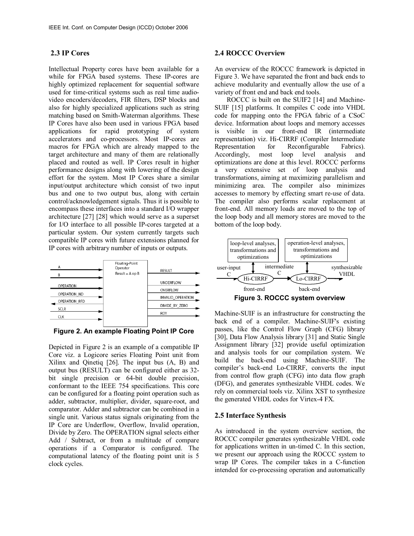## **2.3 IP Cores**

Intellectual Property cores have been available for a while for FPGA based systems. These IP-cores are highly optimized replacement for sequential software used for time-critical systems such as real time audiovideo encoders/decoders, FIR filters, DSP blocks and also for highly specialized applications such as string matching based on Smith-Waterman algorithms. These IP Cores have also been used in various FPGA based applications for rapid prototyping of system accelerators and co-processors. Most IP-cores are macros for FPGA which are already mapped to the target architecture and many of them are relationally placed and routed as well. IP Cores result in higher performance designs along with lowering of the design effort for the system. Most IP Cores share a similar input/output architecture which consist of two input bus and one to two output bus, along with certain control/acknowledgement signals. Thus it is possible to encompass these interfaces into a standard I/O wrapper architecture [27] [28] which would serve as a superset for I/O interface to all possible IP-cores targeted at a particular system. Our system currently targets such compatible IP cores with future extensions planned for IP cores with arbitrary number of inputs or outputs.



**Figure 2. An example Floating Point IP Core** 

Depicted in Figure 2 is an example of a compatible IP Core viz. a Logicore series Floating Point unit from Xilinx and Qinetiq [26]. The input bus (A, B) and output bus (RESULT) can be configured either as 32 bit single precision or 64-bit double precision, conformant to the IEEE 754 specifications. This core can be configured for a floating point operation such as adder, subtractor, multiplier, divider, square-root, and comparator. Adder and subtractor can be combined in a single unit. Various status signals originating from the IP Core are Underflow, Overflow, Invalid operation, Divide by Zero. The OPERATION signal selects either Add / Subtract, or from a multitude of compare operations if a Comparator is configured. The computational latency of the floating point unit is 5 clock cycles.

#### **2.4 ROCCC Overview**

An overview of the ROCCC framework is depicted in Figure 3. We have separated the front and back ends to achieve modularity and eventually allow the use of a variety of front end and back end tools.

ROCCC is built on the SUIF2 [14] and Machine-SUIF [15] platforms. It compiles C code into VHDL code for mapping onto the FPGA fabric of a CSoC device. Information about loops and memory accesses is visible in our front-end IR (intermediate representation) viz. Hi-CIRRF (Compiler Intermediate Representation for Reconfigurable Fabrics). Accordingly, most loop level analysis and optimizations are done at this level. ROCCC performs a very extensive set of loop analysis and transformations, aiming at maximizing parallelism and minimizing area. The compiler also minimizes accesses to memory by effecting smart re-use of data. The compiler also performs scalar replacement at front-end. All memory loads are moved to the top of the loop body and all memory stores are moved to the bottom of the loop body.



Machine-SUIF is an infrastructure for constructing the back end of a compiler. Machine-SUIF's existing passes, like the Control Flow Graph (CFG) library [30], Data Flow Analysis library [31] and Static Single Assignment library [32] provide useful optimization and analysis tools for our compilation system. We build the back-end using Machine-SUIF. The compiler's back-end Lo-CIRRF, converts the input from control flow graph (CFG) into data flow graph (DFG), and generates synthesizable VHDL codes. We rely on commercial tools viz. Xilinx XST to synthesize the generated VHDL codes for Virtex-4 FX.

## **2.5 Interface Synthesis**

As introduced in the system overview section, the ROCCC compiler generates synthesizable VHDL code for applications written in un-timed C. In this section, we present our approach using the ROCCC system to wrap IP Cores. The compiler takes in a C-function intended for co-processing operation and automatically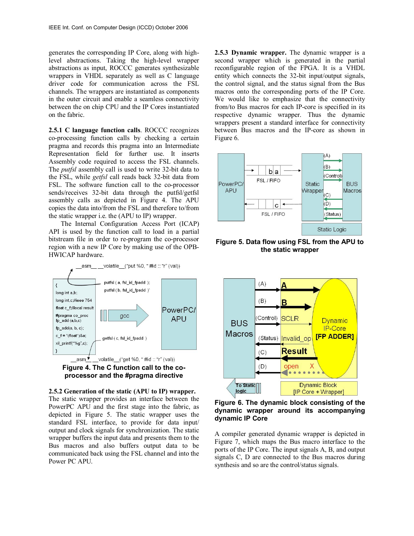generates the corresponding IP Core, along with highlevel abstractions. Taking the high-level wrapper abstractions as input, ROCCC generates synthesizable wrappers in VHDL separately as well as C language driver code for communication across the FSL channels. The wrappers are instantiated as components in the outer circuit and enable a seamless connectivity between the on chip CPU and the IP Cores instantiated on the fabric.

**2.5.1 C language function calls**. ROCCC recognizes co-processing function calls by checking a certain pragma and records this pragma into an Intermediate Representation field for further use. It inserts Assembly code required to access the FSL channels. The *putfsl* assembly call is used to write 32-bit data to the FSL, while *getfsl* call reads back 32-bit data from FSL. The software function call to the co-processor sends/receives 32-bit data through the putfsl/getfsl assembly calls as depicted in Figure 4. The APU copies the data into/from the FSL and therefore to/from the static wrapper i.e. the (APU to IP) wrapper.

The Internal Configuration Access Port (ICAP) API is used by the function call to load in a partial bitstream file in order to re-program the co-processor region with a new IP Core by making use of the OPB-HWICAP hardware.



**Figure 4. The C function call to the coprocessor and the #pragma directive** 



The static wrapper provides an interface between the PowerPC APU and the first stage into the fabric, as depicted in Figure 5. The static wrapper uses the standard FSL interface, to provide for data input/ output and clock signals for synchronization. The static wrapper buffers the input data and presents them to the Bus macros and also buffers output data to be communicated back using the FSL channel and into the Power PC APU.

**2.5.3 Dynamic wrapper.** The dynamic wrapper is a second wrapper which is generated in the partial reconfigurable region of the FPGA. It is a VHDL entity which connects the 32-bit input/output signals, the control signal, and the status signal from the Bus macros onto the corresponding ports of the IP Core. We would like to emphasize that the connectivity from/to Bus macros for each IP-core is specified in its respective dynamic wrapper. Thus the dynamic wrappers present a standard interface for connectivity between Bus macros and the IP-core as shown in Figure 6.



**Figure 5. Data flow using FSL from the APU to the static wrapper** 



**Figure 6. The dynamic block consisting of the dynamic wrapper around its accompanying dynamic IP Core** 

A compiler generated dynamic wrapper is depicted in Figure 7, which maps the Bus macro interface to the ports of the IP Core. The input signals A, B, and output signals C, D are connected to the Bus macros during synthesis and so are the control/status signals.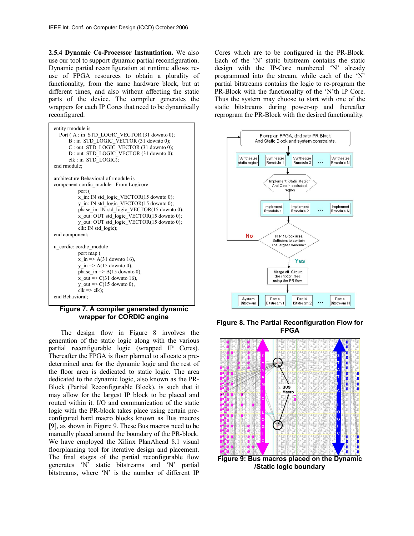**2.5.4 Dynamic Co-Processor Instantiation.** We also use our tool to support dynamic partial reconfiguration. Dynamic partial reconfiguration at runtime allows reuse of FPGA resources to obtain a plurality of functionality, from the same hardware block, but at different times, and also without affecting the static parts of the device. The compiler generates the wrappers for each IP Cores that need to be dynamically reconfigured.

| entity rmodule is<br>Port (A: in STD LOGIC VECTOR (31 downto 0);<br>B: in STD LOGIC VECTOR (31 downto 0);<br>C: out STD LOGIC VECTOR (31 downto 0);<br>D: out STD LOGIC VECTOR (31 downto 0);<br>clk : in STD LOGIC);<br>end rmodule; |  |  |  |  |
|---------------------------------------------------------------------------------------------------------------------------------------------------------------------------------------------------------------------------------------|--|--|--|--|
| architecture Behavioral of rmodule is                                                                                                                                                                                                 |  |  |  |  |
| component cordic module -- From Logicore                                                                                                                                                                                              |  |  |  |  |
| port (                                                                                                                                                                                                                                |  |  |  |  |
| x in: IN std logic VECTOR $(15$ downto 0);                                                                                                                                                                                            |  |  |  |  |
| $y$ in: IN std logic VECTOR(15 downto 0);                                                                                                                                                                                             |  |  |  |  |
| phase in: IN std logic VECTOR(15 downto 0);                                                                                                                                                                                           |  |  |  |  |
| x out: OUT std logic VECTOR(15 downto 0);                                                                                                                                                                                             |  |  |  |  |
| y out: OUT std logic VECTOR(15 downto 0);<br>clk: IN std logic);                                                                                                                                                                      |  |  |  |  |
| end component;                                                                                                                                                                                                                        |  |  |  |  |
|                                                                                                                                                                                                                                       |  |  |  |  |
| u cordic: cordic module                                                                                                                                                                                                               |  |  |  |  |
| port map (                                                                                                                                                                                                                            |  |  |  |  |
| x in $\Rightarrow$ A(31 downto 16),                                                                                                                                                                                                   |  |  |  |  |
| y in $\Rightarrow$ A(15 downto 0),                                                                                                                                                                                                    |  |  |  |  |
| phase_in => $B(15$ downto 0),                                                                                                                                                                                                         |  |  |  |  |
| x out $\approx$ C(31 downto 16),<br>$y_$ out => C(15 downto 0),                                                                                                                                                                       |  |  |  |  |
| $clk \Rightarrow clk$ );                                                                                                                                                                                                              |  |  |  |  |
| end Behavioral:                                                                                                                                                                                                                       |  |  |  |  |
|                                                                                                                                                                                                                                       |  |  |  |  |
|                                                                                                                                                                                                                                       |  |  |  |  |

#### **Figure 7. A compiler generated dynamic wrapper for CORDIC engine**

The design flow in Figure 8 involves the generation of the static logic along with the various partial reconfigurable logic (wrapped IP Cores). Thereafter the FPGA is floor planned to allocate a predetermined area for the dynamic logic and the rest of the floor area is dedicated to static logic. The area dedicated to the dynamic logic, also known as the PR-Block (Partial Reconfigurable Block), is such that it may allow for the largest IP block to be placed and routed within it. I/O and communication of the static logic with the PR-block takes place using certain preconfigured hard macro blocks known as Bus macros [9], as shown in Figure 9. These Bus macros need to be manually placed around the boundary of the PR-block. We have employed the Xilinx PlanAhead 8.1 visual floorplanning tool for iterative design and placement. The final stages of the partial reconfigurable flow generates 'N' static bitstreams and 'N' partial bitstreams, where 'N' is the number of different IP

Cores which are to be configured in the PR-Block. Each of the 'N' static bitstream contains the static design with the IP-Core numbered 'N' already programmed into the stream, while each of the 'N' partial bitstreams contains the logic to re-program the PR-Block with the functionality of the 'N'th IP Core. Thus the system may choose to start with one of the static bitstreams during power-up and thereafter reprogram the PR-Block with the desired functionality.



**Figure 8. The Partial Reconfiguration Flow for FPGA** 



**/Static logic boundary**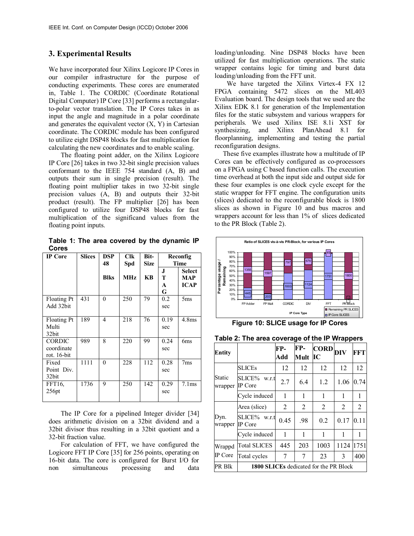## **3. Experimental Results**

We have incorporated four Xilinx Logicore IP Cores in our compiler infrastructure for the purpose of conducting experiments. These cores are enumerated in, Table 1. The CORDIC (Coordinate Rotational Digital Computer) IP Core [33] performs a rectangularto-polar vector translation. The IP Cores takes in as input the angle and magnitude in a polar coordinate and generates the equivalent vector  $(X, Y)$  in Cartesian coordinate. The CORDIC module has been configured to utilize eight DSP48 blocks for fast multiplication for calculating the new coordinates and to enable scaling.

The floating point adder, on the Xilinx Logicore IP Core [26] takes in two 32-bit single precision values conformant to the IEEE 754 standard (A, B) and outputs their sum in single precision (result). The floating point multiplier takes in two 32-bit single precision values (A, B) and outputs their 32-bit product (result). The FP multiplier [26] has been configured to utilize four DSP48 blocks for fast multiplication of the significand values from the floating point inputs.

**Table 1: The area covered by the dynamic IP Cores** 

| <b>IP</b> Core                             | <b>Slices</b> | <b>DSP</b><br>48 | <b>Clk</b><br>Spd | Bit-<br><b>Size</b> | Reconfig<br><b>Time</b> |                                     |
|--------------------------------------------|---------------|------------------|-------------------|---------------------|-------------------------|-------------------------------------|
|                                            |               | <b>Blks</b>      | <b>MHz</b>        | <b>KB</b>           | J<br>т<br>A<br>G        | <b>Select</b><br>MAP<br><b>ICAP</b> |
| <b>Floating Pt</b><br>Add 32bit            | 431           | 0                | 250               | 79                  | 0.2<br>sec              | 5 <sub>ms</sub>                     |
| Floating Pt<br>Multi<br>32bit              | 189           | 4                | 218               | 76                  | 0.19<br>sec             | 4.8 <sub>ms</sub>                   |
| <b>CORDIC</b><br>coordinate<br>rot. 16-bit | 989           | 8                | 220               | 99                  | 0.24<br>sec             | 6 <sub>ms</sub>                     |
| Fixed<br>Point Div.<br>32bit               | 1111          | 0                | 228               | 112                 | 0.28<br>sec             | 7ms                                 |
| FFT16.<br>256pt                            | 1736          | 9                | 250               | 142                 | 0.29<br>sec             | 7.1ms                               |

The IP Core for a pipelined Integer divider [34] does arithmetic division on a 32bit dividend and a 32bit divisor thus resulting in a 32bit quotient and a 32-bit fraction value.

For calculation of FFT, we have configured the Logicore FFT IP Core [35] for 256 points, operating on 16-bit data. The core is configured for Burst I/O for non simultaneous processing and data

loading/unloading. Nine DSP48 blocks have been utilized for fast multiplication operations. The static wrapper contains logic for timing and burst data loading/unloading from the FFT unit.

We have targeted the Xilinx Virtex-4 FX 12 FPGA containing 5472 slices on the ML403 Evaluation board. The design tools that we used are the Xilinx EDK 8.1 for generation of the Implementation files for the static subsystem and various wrappers for peripherals. We used Xilinx ISE 8.1i XST for synthesizing, and Xilinx PlanAhead 8.1 for floorplanning, implementing and testing the partial reconfiguration designs.

These five examples illustrate how a multitude of IP Cores can be effectively configured as co-processors on a FPGA using C based function calls. The execution time overhead at both the input side and output side for these four examples is one clock cycle except for the static wrapper for FFT engine. The configuration units (slices) dedicated to the reconfigurable block is 1800 slices as shown in Figure 10 and bus macros and wrappers account for less than 1% of slices dedicated to the PR Block (Table 2).



**Figure 10: SLICE usage for IP Cores**

**Table 2: The area coverage of the IP Wrappers**

|                   |                                               |            |             |                                             | ∽rr  |            |  |
|-------------------|-----------------------------------------------|------------|-------------|---------------------------------------------|------|------------|--|
| Entity            |                                               | FP-<br>Add | FP-<br>Mult | $\left[\text{CORD}\right]_\text{DIV}$<br>IС |      | <b>FFT</b> |  |
| Static<br>wrapper | <b>SLICEs</b>                                 | 12         | 12          | 12                                          | 12   | 12         |  |
|                   | <b>SLICE%</b><br>w.r.t<br>IP Core             | 2.7        | 6.4         | 1.2                                         | 1.06 | 0.74       |  |
|                   | Cycle induced                                 | 1          | 1           | 1                                           | 1    | 1          |  |
| Dyn.<br>wrapper   | Area (slice)                                  | 2          | 2           | 2                                           | 2    | 2          |  |
|                   | <b>SLICE%</b><br>w.r.t<br>IP Core             | 0.45       | .98         | 0.2                                         | 0.17 | 0.11       |  |
|                   | Cycle induced                                 | 1          | 1           | 1                                           | 1    | 1          |  |
| Wrappd<br>IP Core | <b>Total SLICES</b>                           | 445        | 203         | 1003                                        | 1124 | 1751       |  |
|                   | Total cycles                                  | 7          | 7           | 23                                          | 3    | 400        |  |
| PR Blk            | <b>1800 SLICEs</b> dedicated for the PR Block |            |             |                                             |      |            |  |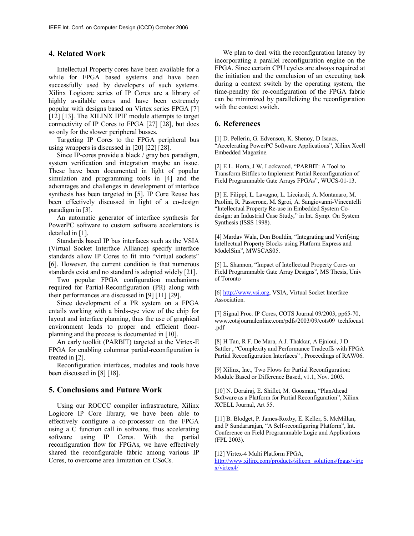## **4. Related Work**

Intellectual Property cores have been available for a while for FPGA based systems and have been successfully used by developers of such systems. Xilinx Logicore series of IP Cores are a library of highly available cores and have been extremely popular with designs based on Virtex series FPGA [7] [12] [13]. The XILINX IPIF module attempts to target connectivity of IP Cores to FPGA [27] [28], but does so only for the slower peripheral busses.

Targeting IP Cores to the FPGA peripheral bus using wrappers is discussed in [20] [22] [28].

Since IP-cores provide a black / gray box paradigm, system verification and integration maybe an issue. These have been documented in light of popular simulation and programming tools in [4] and the advantages and challenges in development of interface synthesis has been targeted in [5]. IP Core Reuse has been effectively discussed in light of a co-design paradigm in [3].

An automatic generator of interface synthesis for PowerPC software to custom software accelerators is detailed in [1].

Standards based IP bus interfaces such as the VSIA (Virtual Socket Interface Alliance) specify interface standards allow IP Cores to fit into "virtual sockets" [6]. However, the current condition is that numerous standards exist and no standard is adopted widely [21].

Two popular FPGA configuration mechanisms required for Partial-Reconfiguration (PR) along with their performances are discussed in [9] [11] [29].

Since development of a PR system on a FPGA entails working with a birds-eye view of the chip for layout and interface planning, thus the use of graphical environment leads to proper and efficient floorplanning and the process is documented in [10].

An early toolkit (PARBIT) targeted at the Virtex-E FPGA for enabling columnar partial-reconfiguration is treated in [2].

Reconfiguration interfaces, modules and tools have been discussed in [8] [18].

#### **5. Conclusions and Future Work**

Using our ROCCC compiler infrastructure, Xilinx Logicore IP Core library, we have been able to effectively configure a co-processor on the FPGA using a C function call in software, thus accelerating software using IP Cores. With the partial reconfiguration flow for FPGAs, we have effectively shared the reconfigurable fabric among various IP Cores, to overcome area limitation on CSoCs.

We plan to deal with the reconfiguration latency by incorporating a parallel reconfiguration engine on the FPGA. Since certain CPU cycles are always required at the initiation and the conclusion of an executing task during a context switch by the operating system, the time-penalty for re-configuration of the FPGA fabric can be minimized by parallelizing the reconfiguration with the context switch.

#### **6. References**

[1] D. Pellerin, G. Edvenson, K. Shenoy, D Isaacs, "Accelerating PowerPC Software Applications", Xilinx Xcell Embedded Magazine.

[2] E L. Horta, J W. Lockwood, "PARBIT: A Tool to Transform Bitfiles to Implement Partial Reconfiguration of Field Programmable Gate Arrays FPGAs", WUCS-01-13.

[3] E. Filippi, L. Lavagno, L. Licciardi, A. Montanaro, M. Paolini, R. Passerone, M. Sgroi, A. Sangiovanni-Vincentelli "Intellectual Property Re-use in Embedded System Codesign: an Industrial Case Study," in Int. Symp. On System Synthesis (ISSS 1998).

[4] Mardav Wala, Don Bouldin, "Integrating and Verifying Intellectual Property Blocks using Platform Express and ModelSim", MWSCAS05.

[5] L. Shannon, "Impact of Intellectual Property Cores on Field Programmable Gate Array Designs", MS Thesis, Univ of Toronto

[6] http://www.vsi.org, VSIA, Virtual Socket Interface Association.

[7] Signal Proc. IP Cores, COTS Journal 09/2003, pp65-70, www.cotsjournalonline.com/pdfs/2003/09/cots09\_techfocus1 .pdf

[8] H Tan, R F. De Mara, A J. Thakkar, A Ejnioui, J D Sattler , "Complexity and Performance Tradeoffs with FPGA Partial Reconfiguration Interfaces" , Proceedings of RAW06.

[9] Xilinx, Inc., Two Flows for Partial Reconfiguration: Module Based or Difference Based, v1.1, Nov. 2003.

[10] N. Dorairaj, E. Shiflet, M. Goosman, "PlanAhead Software as a Platform for Partial Reconfiguration", Xilinx XCELL Journal, Art 55.

[11] B. Blodget, P. James-Roxby, E. Keller, S. McMillan, and P Sundararajan, "A Self-reconfiguring Platform", Int. Conference on Field Programmable Logic and Applications (FPL 2003).

[12] Virtex-4 Multi Platform FPGA,

http://www.xilinx.com/products/silicon\_solutions/fpgas/virte x/virtex4/